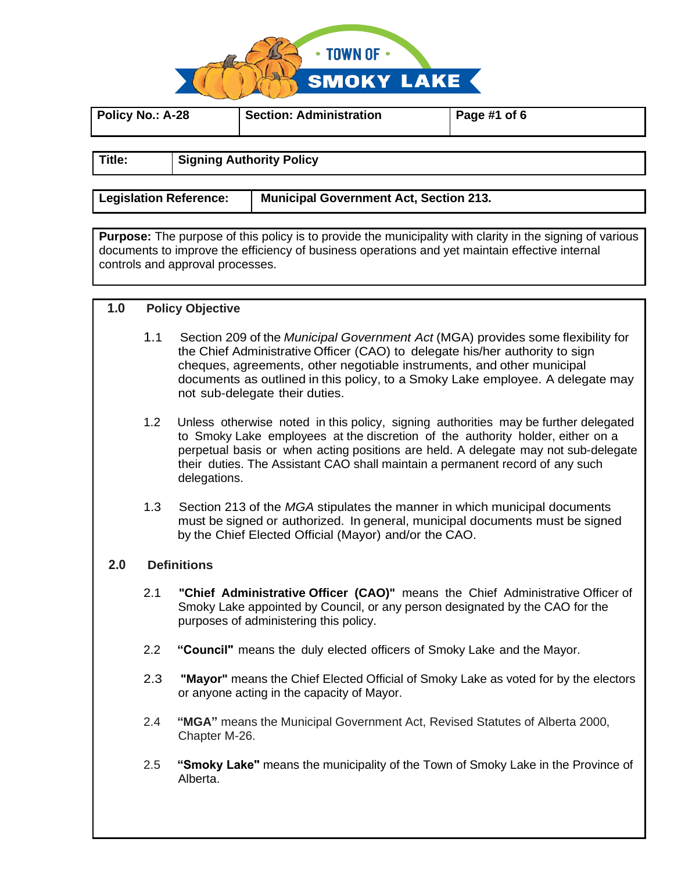

| Policy No.: A-28 | <b>Section: Administration</b>  | Page #1 of $6$ |  |
|------------------|---------------------------------|----------------|--|
| Title:           | <b>Signing Authority Policy</b> |                |  |

**Legislation Reference: Municipal Government Act, Section 213.**

**Purpose:** The purpose of this policy is to provide the municipality with clarity in the signing of various documents to improve the efficiency of business operations and yet maintain effective internal controls and approval processes.

## **1.0 Policy Objective**

- 1.1 Section 209 of the *Municipal Government Act* (MGA) provides some flexibility for the Chief Administrative Officer (CAO) to delegate his/her authority to sign cheques, agreements, other negotiable instruments, and other municipal documents as outlined in this policy, to a Smoky Lake employee. A delegate may not sub-delegate their duties.
- 1.2 Unless otherwise noted in this policy, signing authorities may be further delegated to Smoky Lake employees at the discretion of the authority holder, either on a perpetual basis or when acting positions are held. A delegate may not sub-delegate their duties. The Assistant CAO shall maintain a permanent record of any such delegations.
- 1.3 Section 213 of the *MGA* stipulates the manner in which municipal documents must be signed or authorized. In general, municipal documents must be signed by the Chief Elected Official (Mayor) and/or the CAO.

## **2.0 Definitions**

- 2.1 **"Chief Administrative Officer (CAO)"** means the Chief Administrative Officer of Smoky Lake appointed by Council, or any person designated by the CAO for the purposes of administering this policy.
- 2.2 **"Council"** means the duly elected officers of Smoky Lake and the Mayor.
- 2.3 **"Mayor"** means the Chief Elected Official of Smoky Lake as voted for by the electors or anyone acting in the capacity of Mayor.
- 2.4 **"MGA"** means the Municipal Government Act, Revised Statutes of Alberta 2000, Chapter M-26.
- 2.5 **"Smoky Lake"** means the municipality of the Town of Smoky Lake in the Province of Alberta.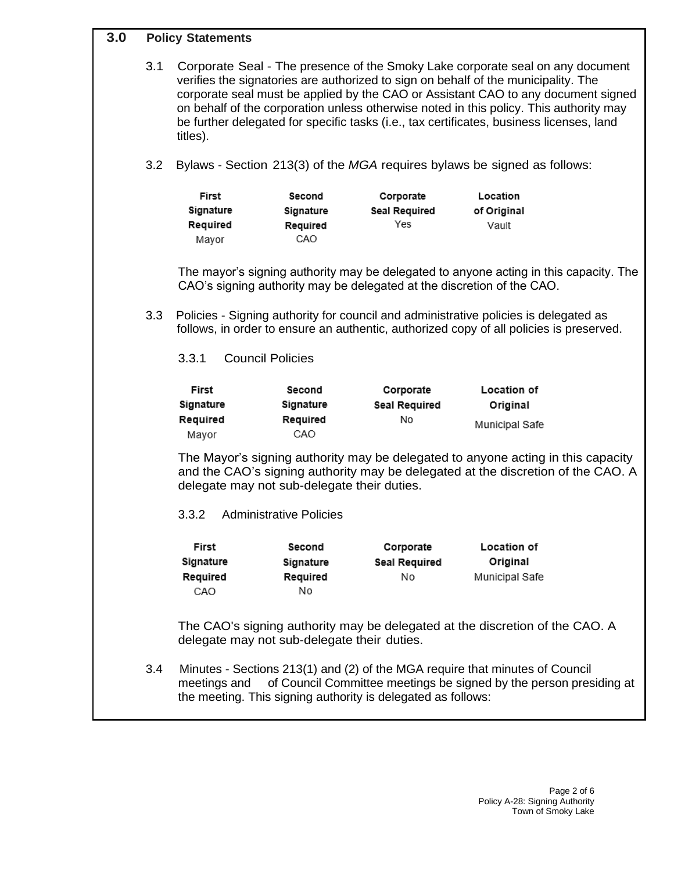# **3.0 Policy Statements**

| ט.כ |     | <b>POIICY STATEMENTS</b>                                                                                                                                                                                                                                                                                                                                                                                                                                    |                                             |                                          |                                                                                                                                                                                 |  |
|-----|-----|-------------------------------------------------------------------------------------------------------------------------------------------------------------------------------------------------------------------------------------------------------------------------------------------------------------------------------------------------------------------------------------------------------------------------------------------------------------|---------------------------------------------|------------------------------------------|---------------------------------------------------------------------------------------------------------------------------------------------------------------------------------|--|
|     | 3.1 | Corporate Seal - The presence of the Smoky Lake corporate seal on any document<br>verifies the signatories are authorized to sign on behalf of the municipality. The<br>corporate seal must be applied by the CAO or Assistant CAO to any document signed<br>on behalf of the corporation unless otherwise noted in this policy. This authority may<br>be further delegated for specific tasks (i.e., tax certificates, business licenses, land<br>titles). |                                             |                                          |                                                                                                                                                                                 |  |
|     | 3.2 |                                                                                                                                                                                                                                                                                                                                                                                                                                                             |                                             |                                          | Bylaws - Section 213(3) of the MGA requires bylaws be signed as follows:                                                                                                        |  |
|     |     | First<br>Signature<br>Required<br>Mayor                                                                                                                                                                                                                                                                                                                                                                                                                     | Second<br>Signature<br>Required<br>CAO      | Corporate<br><b>Seal Required</b><br>Yes | Location<br>of Original<br>Vault                                                                                                                                                |  |
|     |     | The mayor's signing authority may be delegated to anyone acting in this capacity. The<br>CAO's signing authority may be delegated at the discretion of the CAO.                                                                                                                                                                                                                                                                                             |                                             |                                          |                                                                                                                                                                                 |  |
|     | 3.3 |                                                                                                                                                                                                                                                                                                                                                                                                                                                             |                                             |                                          | Policies - Signing authority for council and administrative policies is delegated as<br>follows, in order to ensure an authentic, authorized copy of all policies is preserved. |  |
|     |     | <b>Council Policies</b><br>3.3.1                                                                                                                                                                                                                                                                                                                                                                                                                            |                                             |                                          |                                                                                                                                                                                 |  |
|     |     | First                                                                                                                                                                                                                                                                                                                                                                                                                                                       | Second                                      | Corporate                                | Location of                                                                                                                                                                     |  |
|     |     | Signature                                                                                                                                                                                                                                                                                                                                                                                                                                                   | Signature                                   | <b>Seal Required</b>                     | Original                                                                                                                                                                        |  |
|     |     | Required<br>Mayor                                                                                                                                                                                                                                                                                                                                                                                                                                           | Required<br>CAO                             | No                                       | Municipal Safe                                                                                                                                                                  |  |
|     |     | The Mayor's signing authority may be delegated to anyone acting in this capacity<br>and the CAO's signing authority may be delegated at the discretion of the CAO. A<br>delegate may not sub-delegate their duties.                                                                                                                                                                                                                                         |                                             |                                          |                                                                                                                                                                                 |  |
|     |     | 3.3.2                                                                                                                                                                                                                                                                                                                                                                                                                                                       | <b>Administrative Policies</b>              |                                          |                                                                                                                                                                                 |  |
|     |     | First<br>Signature<br>Required<br>CAO                                                                                                                                                                                                                                                                                                                                                                                                                       | Second<br>Signature<br>Required<br>No       | Corporate<br>Seal Required<br>No         | Location of<br>Original<br>Municipal Safe                                                                                                                                       |  |
|     |     |                                                                                                                                                                                                                                                                                                                                                                                                                                                             | delegate may not sub-delegate their duties. |                                          | The CAO's signing authority may be delegated at the discretion of the CAO. A                                                                                                    |  |
|     | 3.4 | Minutes - Sections 213(1) and (2) of the MGA require that minutes of Council<br>of Council Committee meetings be signed by the person presiding at<br>meetings and<br>the meeting. This signing authority is delegated as follows:                                                                                                                                                                                                                          |                                             |                                          |                                                                                                                                                                                 |  |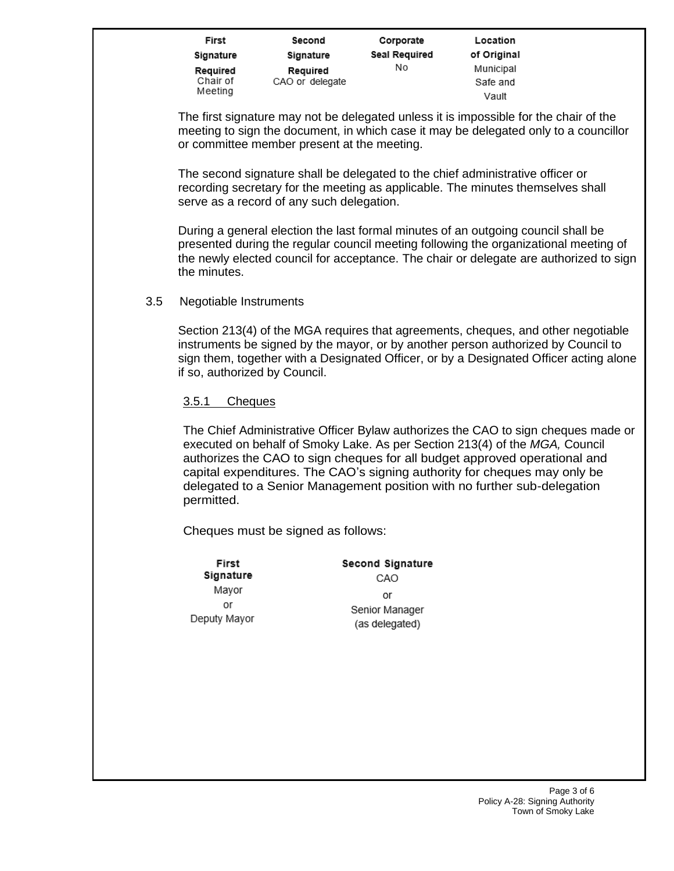| First     | Second          |
|-----------|-----------------|
| Signature | Signature       |
| Required  | Required        |
| Chair of  | CAO or delegate |
| Meeting   |                 |

Corporate Seal Required No

Location of Original Municipal Safe and Vault

The first signature may not be delegated unless it is impossible for the chair of the meeting to sign the document, in which case it may be delegated only to a councillor or committee member present at the meeting.

The second signature shall be delegated to the chief administrative officer or recording secretary for the meeting as applicable. The minutes themselves shall serve as a record of any such delegation.

During a general election the last formal minutes of an outgoing council shall be presented during the regular council meeting following the organizational meeting of the newly elected council for acceptance. The chair or delegate are authorized to sign the minutes.

3.5 Negotiable Instruments

Section 213(4) of the MGA requires that agreements, cheques, and other negotiable instruments be signed by the mayor, or by another person authorized by Council to sign them, together with a Designated Officer, or by a Designated Officer acting alone if so, authorized by Council.

3.5.1 Cheques

The Chief Administrative Officer Bylaw authorizes the CAO to sign cheques made or executed on behalf of Smoky Lake. As per Section 213(4) of the *MGA,* Council authorizes the CAO to sign cheques for all budget approved operational and capital expenditures. The CAO's signing authority for cheques may only be delegated to a Senior Management position with no further sub-delegation permitted.

Cheques must be signed as follows:

| First        | <b>Second Signature</b> |
|--------------|-------------------------|
| Signature    | CAO                     |
| Mayor        | or                      |
| or           | Senior Manager          |
| Deputy Mayor | (as delegated)          |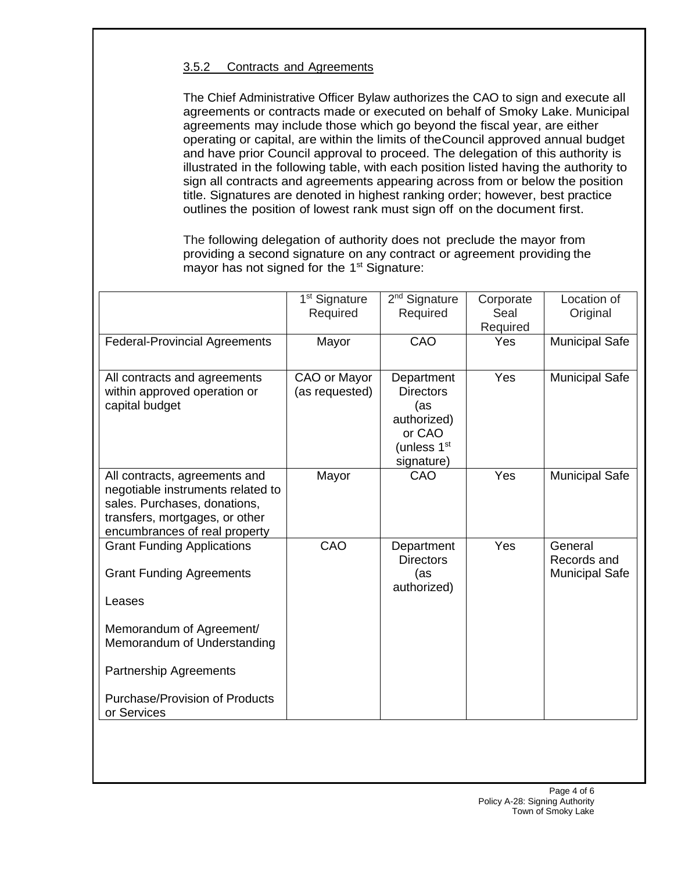## 3.5.2 Contracts and Agreements

The Chief Administrative Officer Bylaw authorizes the CAO to sign and execute all agreements or contracts made or executed on behalf of Smoky Lake. Municipal agreements may include those which go beyond the fiscal year, are either operating or capital, are within the limits of theCouncil approved annual budget and have prior Council approval to proceed. The delegation of this authority is illustrated in the following table, with each position listed having the authority to sign all contracts and agreements appearing across from or below the position title. Signatures are denoted in highest ranking order; however, best practice outlines the position of lowest rank must sign off on the document first.

The following delegation of authority does not preclude the mayor from providing a second signature on any contract or agreement providing the mayor has not signed for the 1<sup>st</sup> Signature:

|                                                                                                                                                                       | 1 <sup>st</sup> Signature<br>Required | 2 <sup>nd</sup> Signature<br>Required                                                       | Corporate<br>Seal<br>Required | Location of<br>Original                         |
|-----------------------------------------------------------------------------------------------------------------------------------------------------------------------|---------------------------------------|---------------------------------------------------------------------------------------------|-------------------------------|-------------------------------------------------|
| <b>Federal-Provincial Agreements</b>                                                                                                                                  | Mayor                                 | CAO                                                                                         | Yes                           | <b>Municipal Safe</b>                           |
| All contracts and agreements<br>within approved operation or<br>capital budget                                                                                        | CAO or Mayor<br>(as requested)        | Department<br><b>Directors</b><br>(as<br>authorized)<br>or CAO<br>(unless 1st<br>signature) | Yes                           | <b>Municipal Safe</b>                           |
| All contracts, agreements and<br>negotiable instruments related to<br>sales. Purchases, donations,<br>transfers, mortgages, or other<br>encumbrances of real property | Mayor                                 | CAO                                                                                         | Yes                           | <b>Municipal Safe</b>                           |
| <b>Grant Funding Applications</b><br><b>Grant Funding Agreements</b><br>Leases                                                                                        | CAO                                   | Department<br><b>Directors</b><br>(as<br>authorized)                                        | Yes                           | General<br>Records and<br><b>Municipal Safe</b> |
| Memorandum of Agreement/<br>Memorandum of Understanding                                                                                                               |                                       |                                                                                             |                               |                                                 |
| Partnership Agreements<br><b>Purchase/Provision of Products</b><br>or Services                                                                                        |                                       |                                                                                             |                               |                                                 |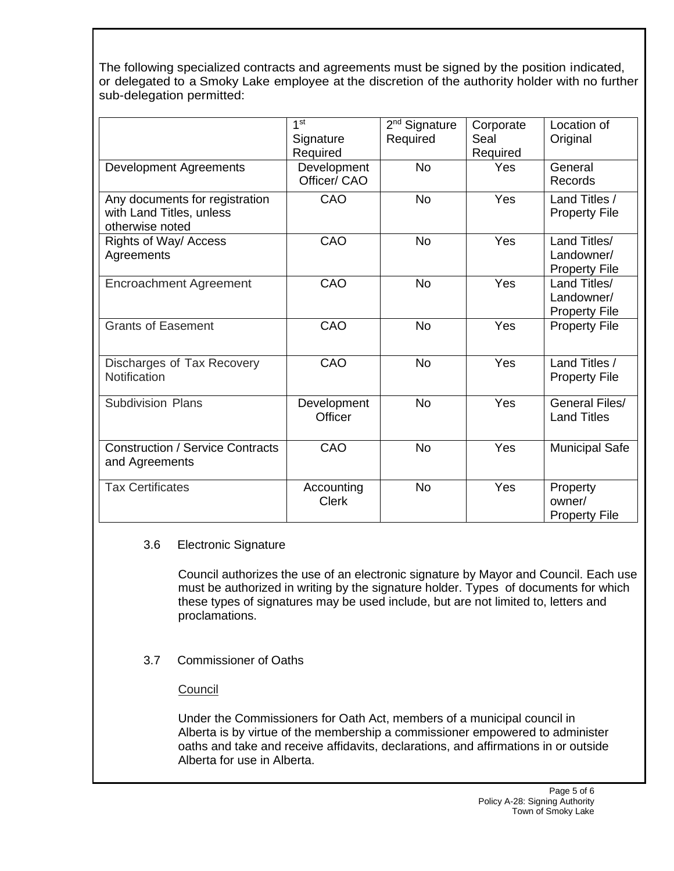The following specialized contracts and agreements must be signed by the position indicated, or delegated to a Smoky Lake employee at the discretion of the authority holder with no further sub-delegation permitted:

|                                                                               | 1 <sup>st</sup>             | 2 <sup>nd</sup> Signature | Corporate        | Location of                                        |
|-------------------------------------------------------------------------------|-----------------------------|---------------------------|------------------|----------------------------------------------------|
|                                                                               | Signature<br>Required       | Required                  | Seal<br>Required | Original                                           |
| <b>Development Agreements</b>                                                 | Development<br>Officer/ CAO | <b>No</b>                 | Yes              | General<br><b>Records</b>                          |
| Any documents for registration<br>with Land Titles, unless<br>otherwise noted | CAO                         | <b>No</b>                 | <b>Yes</b>       | Land Titles /<br><b>Property File</b>              |
| Rights of Way/ Access<br>Agreements                                           | CAO                         | <b>No</b>                 | <b>Yes</b>       | Land Titles/<br>Landowner/<br><b>Property File</b> |
| <b>Encroachment Agreement</b>                                                 | CAO                         | <b>No</b>                 | Yes              | Land Titles/<br>Landowner/<br><b>Property File</b> |
| <b>Grants of Easement</b>                                                     | CAO                         | <b>No</b>                 | Yes              | <b>Property File</b>                               |
| Discharges of Tax Recovery<br>Notification                                    | CAO                         | <b>No</b>                 | Yes              | Land Titles /<br><b>Property File</b>              |
| <b>Subdivision Plans</b>                                                      | Development<br>Officer      | <b>No</b>                 | Yes              | General Files/<br><b>Land Titles</b>               |
| <b>Construction / Service Contracts</b><br>and Agreements                     | CAO                         | <b>No</b>                 | Yes              | <b>Municipal Safe</b>                              |
| <b>Tax Certificates</b>                                                       | Accounting<br><b>Clerk</b>  | <b>No</b>                 | Yes              | Property<br>owner/<br><b>Property File</b>         |

## 3.6 Electronic Signature

Council authorizes the use of an electronic signature by Mayor and Council. Each use must be authorized in writing by the signature holder. Types of documents for which these types of signatures may be used include, but are not limited to, letters and proclamations.

3.7 Commissioner of Oaths

## **Council**

Under the Commissioners for Oath Act, members of a municipal council in Alberta is by virtue of the membership a commissioner empowered to administer oaths and take and receive affidavits, declarations, and affirmations in or outside Alberta for use in Alberta.